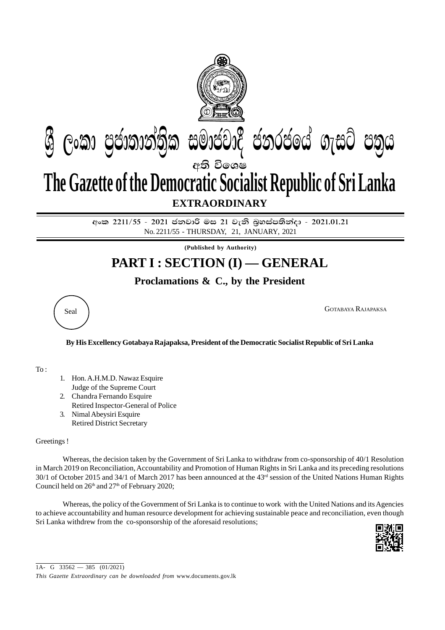

අංක 2211/55 - 2021 ජනවාරි මස 21 වැනි බූහස්පතින්දා - 2021.01.21 No. 2211/55 - THURSDAY, 21, JANUARY, 2021

**(Published by Authority)**

## **PART I : SECTION (I) — GENERAL**

## **Proclamations & C., by the President**



Seal GOTABAYA RAJAPAKSA

## **By His Excellency Gotabaya Rajapaksa, President of the Democratic Socialist Republic of Sri Lanka**

To :

- 1. Hon. A.H.M.D. Nawaz Esquire Judge of the Supreme Court
- 2. Chandra Fernando Esquire
- Retired Inspector-General of Police
- 3. Nimal Abeysiri Esquire Retired District Secretary

## Greetings !

Whereas, the decision taken by the Government of Sri Lanka to withdraw from co-sponsorship of 40/1 Resolution in March 2019 on Reconciliation, Accountability and Promotion of Human Rights in Sri Lanka and its preceding resolutions 30/1 of October 2015 and 34/1 of March 2017 has been announced at the 43<sup>rd</sup> session of the United Nations Human Rights Council held on  $26<sup>th</sup>$  and  $27<sup>th</sup>$  of February 2020;

Whereas, the policy of the Government of Sri Lanka is to continue to work with the United Nations and its Agencies to achieve accountability and human resource development for achieving sustainable peace and reconciliation, even though Sri Lanka withdrew from the co-sponsorship of the aforesaid resolutions;



1A- G  $33562 - 385$  (01/2021)

*This Gazette Extraordinary can be downloaded from* www.documents.gov.lk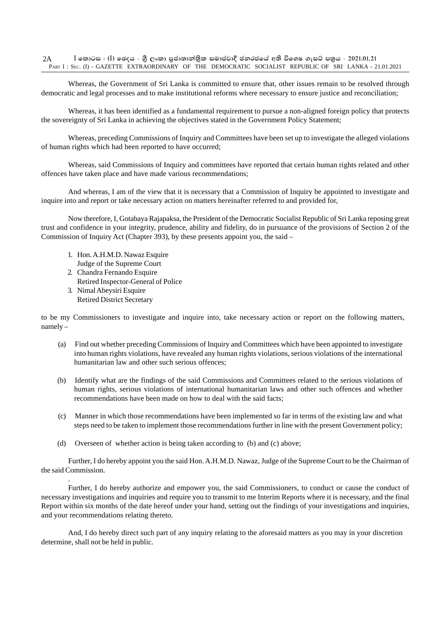Whereas, the Government of Sri Lanka is committed to ensure that, other issues remain to be resolved through democratic and legal processes and to make institutional reforms where necessary to ensure justice and reconciliation;

Whereas, it has been identified as a fundamental requirement to pursue a non-aligned foreign policy that protects the sovereignty of Sri Lanka in achieving the objectives stated in the Government Policy Statement;

Whereas, preceding Commissions of Inquiry and Committees have been set up to investigate the alleged violations of human rights which had been reported to have occurred;

Whereas, said Commissions of Inquiry and committees have reported that certain human rights related and other offences have taken place and have made various recommendations;

And whereas, I am of the view that it is necessary that a Commission of Inquiry be appointed to investigate and inquire into and report or take necessary action on matters hereinafter referred to and provided for,

Now therefore, I, Gotabaya Rajapaksa, the President of the Democratic Socialist Republic of Sri Lanka reposing great trust and confidence in your integrity, prudence, ability and fidelity, do in pursuance of the provisions of Section 2 of the Commission of Inquiry Act (Chapter 393), by these presents appoint you, the said –

- 1. Hon. A.H.M.D. Nawaz Esquire
- Judge of the Supreme Court
- 2. Chandra Fernando Esquire
- Retired Inspector-General of Police
- 3. Nimal Abeysiri Esquire Retired District Secretary

.

to be my Commissioners to investigate and inquire into, take necessary action or report on the following matters, namely –

- (a) Find out whether preceding Commissions of Inquiry and Committees which have been appointed to investigate into human rights violations, have revealed any human rights violations, serious violations of the international humanitarian law and other such serious offences;
- (b) Identify what are the findings of the said Commissions and Committees related to the serious violations of human rights, serious violations of international humanitarian laws and other such offences and whether recommendations have been made on how to deal with the said facts;
- (c) Manner in which those recommendations have been implemented so far in terms of the existing law and what steps need to be taken to implement those recommendations further in line with the present Government policy;
- (d) Overseen of whether action is being taken according to (b) and (c) above;

Further, I do hereby appoint you the said Hon. A.H.M.D. Nawaz, Judge of the Supreme Court to be the Chairman of the said Commission.

Further, I do hereby authorize and empower you, the said Commissioners, to conduct or cause the conduct of necessary investigations and inquiries and require you to transmit to me Interim Reports where it is necessary, and the final Report within six months of the date hereof under your hand, setting out the findings of your investigations and inquiries, and your recommendations relating thereto.

And, I do hereby direct such part of any inquiry relating to the aforesaid matters as you may in your discretion determine, shall not be held in public.